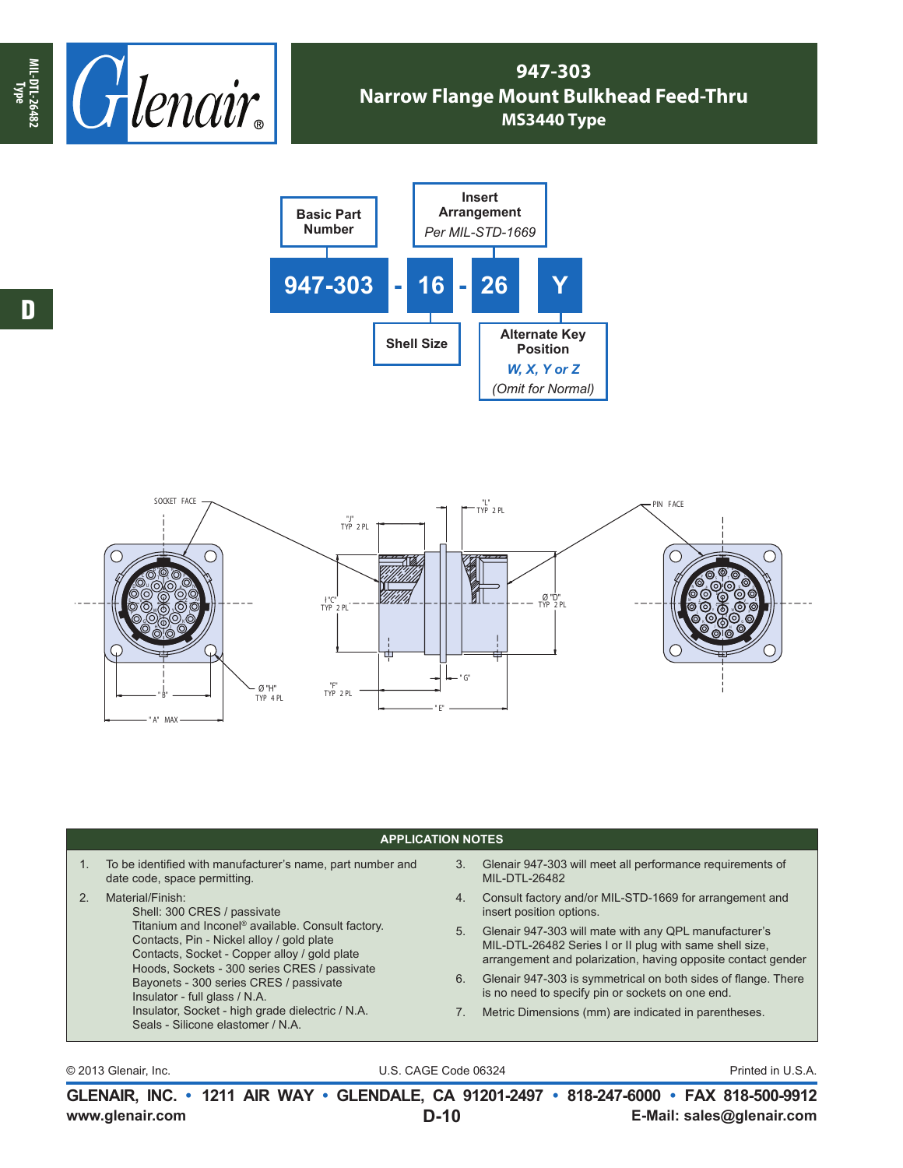

## **947-303 Narrow Flange Mount Bulkhead Feed-Thru MS3440 Type**





## **APPLICATION NOTES**

| $1_{-}$ | To be identified with manufacturer's name, part number and<br>date code, space permitting.                                                                                                                                                                                                                                                                                                                                        | 3. | Glenair 947-303 will meet all performance requirements of<br>MIL-DTL-26482                                                                                                       |
|---------|-----------------------------------------------------------------------------------------------------------------------------------------------------------------------------------------------------------------------------------------------------------------------------------------------------------------------------------------------------------------------------------------------------------------------------------|----|----------------------------------------------------------------------------------------------------------------------------------------------------------------------------------|
|         | Material/Finish:<br>Shell: 300 CRES / passivate<br>Titanium and Inconel <sup>®</sup> available. Consult factory.<br>Contacts, Pin - Nickel alloy / gold plate<br>Contacts, Socket - Copper alloy / gold plate<br>Hoods, Sockets - 300 series CRES / passivate<br>Bayonets - 300 series CRES / passivate<br>Insulator - full glass / N.A.<br>Insulator, Socket - high grade dielectric / N.A.<br>Seals - Silicone elastomer / N.A. | 4. | Consult factory and/or MIL-STD-1669 for arrangement and<br>insert position options.                                                                                              |
|         |                                                                                                                                                                                                                                                                                                                                                                                                                                   | 5. | Glenair 947-303 will mate with any QPL manufacturer's<br>MIL-DTL-26482 Series I or II plug with same shell size,<br>arrangement and polarization, having opposite contact gender |
|         |                                                                                                                                                                                                                                                                                                                                                                                                                                   | 6. | Glenair 947-303 is symmetrical on both sides of flange. There<br>is no need to specify pin or sockets on one end.                                                                |
|         |                                                                                                                                                                                                                                                                                                                                                                                                                                   |    | Metric Dimensions (mm) are indicated in parentheses.                                                                                                                             |
|         |                                                                                                                                                                                                                                                                                                                                                                                                                                   |    |                                                                                                                                                                                  |

© 2013 Glenair, Inc. U.S. CAGE Code 06324 Printed in U.S.A.

**www.glenair.com E-Mail: sales@glenair.com GLENAIR, INC. • 1211 AIR WAY • GLENDALE, CA 91201-2497 • 818-247-6000 • FAX 818-500-9912 D-10**